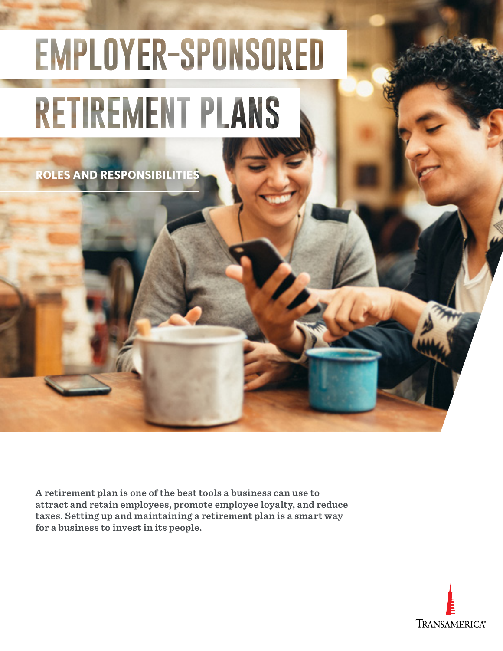# EMPLOYER-SPONSORED **RETIREMENT PLANS**

**ROLES AND RESPONSIBILITIES**

**A retirement plan is one of the best tools a business can use to attract and retain employees, promote employee loyalty, and reduce taxes. Setting up and maintaining a retirement plan is a smart way for a business to invest in its people.**

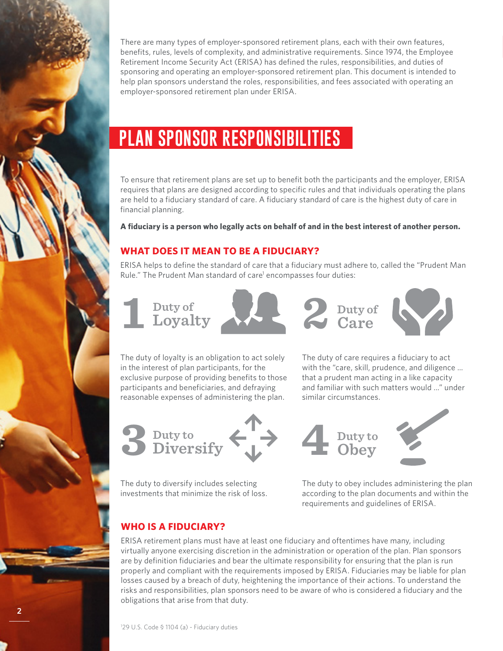

There are many types of employer-sponsored retirement plans, each with their own features,<br>benefits, rules, levels of complexity, and administrative requirements. Since 1974, the Employee Retirement Income Security Act (ERISA) has defined the rules, responsibilities, and duties of sponsoring and operating an employer-sponsored retirement plan. This document is intended to help plan sponsors understand the roles, responsibilities, and fees associated with operating an employer-sponsored retirement plan under ERISA.

# **PLAN SPONSOR RESPONSIBILITIES**

To ensure that retirement plans are set up to benefit both the participants and the employer, ERISA requires that plans are designed according to specific rules and that individuals operating the plans are held to a fiduciary standard of care. A fiduciary standard of care is the highest duty of care in financial planning.

**A fiduciary is a person who legally acts on behalf of and in the best interest of another person.** 

### **WHAT DOES IT MEAN TO BE A FIDUCIARY?**

ERISA helps to define the standard of care that a fiduciary must adhere to, called the "Prudent Man Rule." The Prudent Man standard of care<sup>1</sup> encompasses four duties:

**Duty of 1 Loyalty** 



**Duty of 2 Care**



The duty of loyalty is an obligation to act solely in the interest of plan participants, for the exclusive purpose of providing benefits to those participants and beneficiaries, and defraying reasonable expenses of administering the plan.



The duty to diversify includes selecting investments that minimize the risk of loss. The duty of care requires a fiduciary to act with the "care, skill, prudence, and diligence … that a prudent man acting in a like capacity and familiar with such matters would …" under similar circumstances.



The duty to obey includes administering the plan according to the plan documents and within the requirements and guidelines of ERISA.

# **WHO IS A FIDUCIARY?**

ERISA retirement plans must have at least one fiduciary and oftentimes have many, including virtually anyone exercising discretion in the administration or operation of the plan. Plan sponsors are by definition fiduciaries and bear the ultimate responsibility for ensuring that the plan is run properly and compliant with the requirements imposed by ERISA. Fiduciaries may be liable for plan losses caused by a breach of duty, heightening the importance of their actions. To understand the risks and responsibilities, plan sponsors need to be aware of who is considered a fiduciary and the obligations that arise from that duty.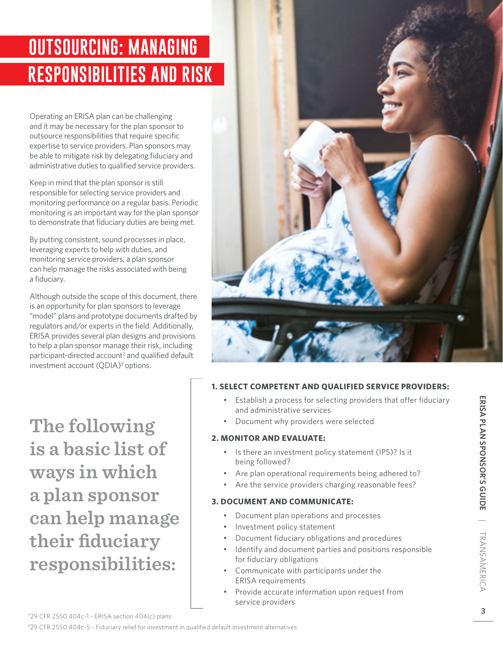# **RESPONSIBILITIES AND RISK OUTSOURCING: MANAGING**

Operating an ERISA plan can be challenging and it may be necessary for the plan sponsor to outsource responsibilities that require specific expertise to service providers. Plan sponsors may be able to mitigate risk by delegating fiduciary and administrative duties to qualified service providers.

Keep in mind that the plan sponsor is still responsible for selecting service providers and monitoring performance on a regular basis. Periodic monitoring is an important way for the plan sponsor to demonstrate that fiduciary duties are being met.

By putting consistent, sound processes in place, leveraging experts to help with duties, and monitoring service providers, a plan sponsor can help manage the risks associated with being a fiduciary.

Although outside the scope of this document, there is an opportunity for plan sponsors to leverage "model" plans and prototype documents drafted by regulators and/or experts in the field. Additionally, ERISA provides several plan designs and provisions to help a plan sponsor manage their risk, including participant-directed account<sup>2</sup> and qualified default investment account (QDIA)<sup>3</sup> options.

**The following is a basic list of ways in which a plan sponsor can help manage their fiduciary responsibilities:** 



### **1. SELECT COMPETENT AND QUALIFIED SERVICE PROVIDERS:**

- Establish a process for selecting providers that offer fiduciary and administrative services
- Document why providers were selected

### **2. MONITOR AND EVALUATE:**

- Is there an investment policy statement (IPS)? Is it being followed?
- Are plan operational requirements being adhered to?
- Are the service providers charging reasonable fees?

### **3. DOCUMENT AND COMMUNICATE:**

- Document plan operations and processes
- Investment policy statement
- Document fiduciary obligations and procedures
- Identify and document parties and positions responsible for fiduciary obligations
- Communicate with participants under the ERISA requirements
- Provide accurate information upon request from service providers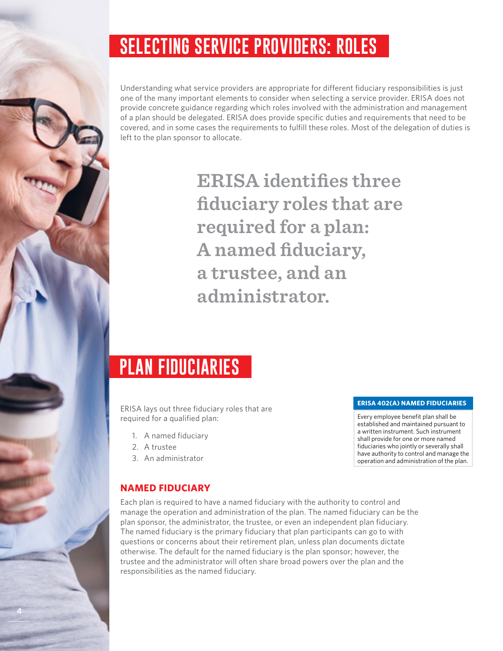# **SELECTING SERVICE PROVIDERS: ROLES**

Understanding what service providers are appropriate for different fiduciary responsibilities is just one of the many important elements to consider when selecting a service provider. ERISA does not provide concrete guidance regarding which roles involved with the administration and management of a plan should be delegated. ERISA does provide specific duties and requirements that need to be covered, and in some cases the requirements to fulfill these roles. Most of the delegation of duties is left to the plan sponsor to allocate.

> **ERISA identifies three fiduciary roles that are required for a plan: A named fiduciary, a trustee, and an administrator.**

# **PLAN FIDUCIARIES**

ERISA lays out three fiduciary roles that are required for a qualified plan:

- 1. A named fiduciary
- 2. A trustee

**4**

3. An administrator

# **NAMED FIDUCIARY**

Each plan is required to have a named fiduciary with the authority to control and manage the operation and administration of the plan. The named fiduciary can be the plan sponsor, the administrator, the trustee, or even an independent plan fiduciary. The named fiduciary is the primary fiduciary that plan participants can go to with questions or concerns about their retirement plan, unless plan documents dictate otherwise. The default for the named fiduciary is the plan sponsor; however, the trustee and the administrator will often share broad powers over the plan and the responsibilities as the named fiduciary.

#### **ERISA 402(A) NAMED FIDUCIARIES**

Every employee benefit plan shall be established and maintained pursuant to a written instrument. Such instrument shall provide for one or more named fiduciaries who jointly or severally shall have authority to control and manage the operation and administration of the plan.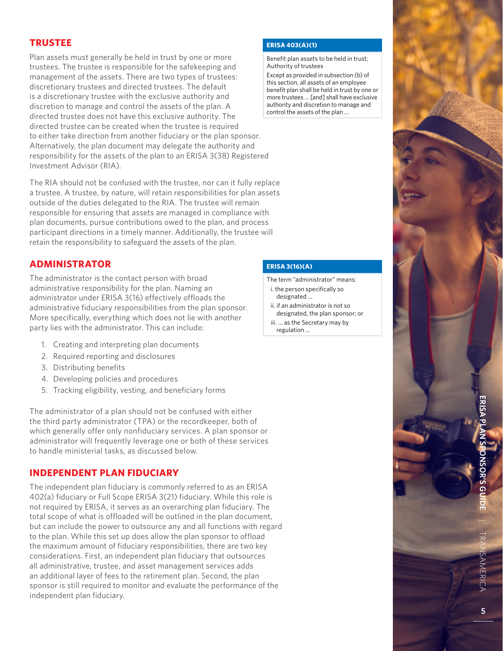### **TRUSTEE**

Plan assets must generally be held in trust by one or more trustees. The trustee is responsible for the safekeeping and management of the assets. There are two types of trustees: discretionary trustees and directed trustees. The default is a discretionary trustee with the exclusive authority and discretion to manage and control the assets of the plan. A directed trustee does not have this exclusive authority. The directed trustee can be created when the trustee is required to either take direction from another fiduciary or the plan sponsor. Alternatively, the plan document may delegate the authority and responsibility for the assets of the plan to an ERISA 3(38) Registered Investment Advisor (RIA).

The RIA should not be confused with the trustee, nor can it fully replace a trustee. A trustee, by nature, will retain responsibilities for plan assets outside of the duties delegated to the RIA. The trustee will remain responsible for ensuring that assets are managed in compliance with plan documents, pursue contributions owed to the plan, and process participant directions in a timely manner. Additionally, the trustee will retain the responsibility to safeguard the assets of the plan.

### **ADMINISTRATOR**

The administrator is the contact person with broad administrative responsibility for the plan. Naming an administrator under ERISA 3(16) effectively offloads the administrative fiduciary responsibilities from the plan sponsor. More specifically, everything which does not lie with another party lies with the administrator. This can include:

- 1. Creating and interpreting plan documents
- 2. Required reporting and disclosures
- 3. Distributing benefits
- 4. Developing policies and procedures
- 5. Tracking eligibility, vesting, and beneficiary forms

The administrator of a plan should not be confused with either the third party administrator (TPA) or the recordkeeper, both of which generally offer only nonfiduciary services. A plan sponsor or administrator will frequently leverage one or both of these services to handle ministerial tasks, as discussed below.

### **INDEPENDENT PLAN FIDUCIARY**

The independent plan fiduciary is commonly referred to as an ERISA 402(a) fiduciary or Full Scope ERISA 3(21) fiduciary. While this role is not required by ERISA, it serves as an overarching plan fiduciary. The total scope of what is offloaded will be outlined in the plan document, but can include the power to outsource any and all functions with regard to the plan. While this set up does allow the plan sponsor to offload the maximum amount of fiduciary responsibilities, there are two key considerations. First, an independent plan fiduciary that outsources all administrative, trustee, and asset management services adds an additional layer of fees to the retirement plan. Second, the plan sponsor is still required to monitor and evaluate the performance of the independent plan fiduciary.

#### **ERISA 403(A)(1)**

Benefit plan assets to be held in trust; Authority of trustees

Except as provided in subsection (b) of this section, all assets of an employee benefit plan shall be held in trust by one or more trustees … [and] shall have exclusive authority and discretion to manage and control the assets of the plan …

### **ERISA 3(16)(A)**

- The term "administrator" means: i. the person specifically so
	- designated …
- ii. if an administrator is not so designated, the plan sponsor; or iii. … as the Secretary may by regulation ...

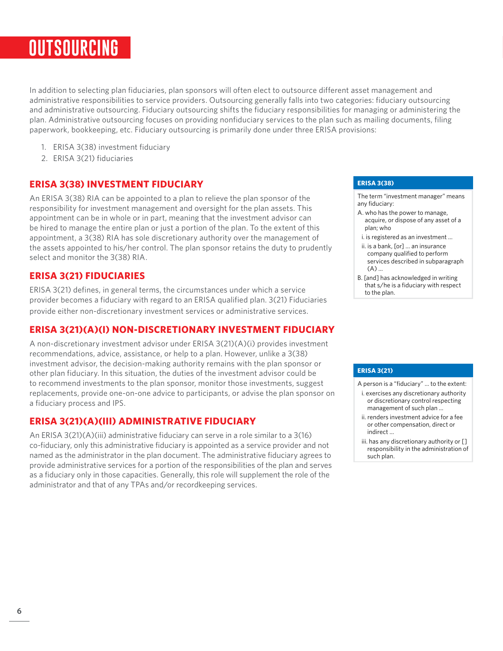# **OUTSOURCING**

In addition to selecting plan fiduciaries, plan sponsors will often elect to outsource different asset management and administrative responsibilities to service providers. Outsourcing generally falls into two categories: fiduciary outsourcing and administrative outsourcing. Fiduciary outsourcing shifts the fiduciary responsibilities for managing or administering the plan. Administrative outsourcing focuses on providing nonfiduciary services to the plan such as mailing documents, filing paperwork, bookkeeping, etc. Fiduciary outsourcing is primarily done under three ERISA provisions:

- 1. ERISA 3(38) investment fiduciary
- 2. ERISA 3(21) fiduciaries

### **ERISA 3(38) INVESTMENT FIDUCIARY**

An ERISA 3(38) RIA can be appointed to a plan to relieve the plan sponsor of the responsibility for investment management and oversight for the plan assets. This appointment can be in whole or in part, meaning that the investment advisor can be hired to manage the entire plan or just a portion of the plan. To the extent of this appointment, a 3(38) RIA has sole discretionary authority over the management of the assets appointed to his/her control. The plan sponsor retains the duty to prudently select and monitor the 3(38) RIA.

### **ERISA 3(21) FIDUCIARIES**

ERISA 3(21) defines, in general terms, the circumstances under which a service provider becomes a fiduciary with regard to an ERISA qualified plan. 3(21) Fiduciaries provide either non-discretionary investment services or administrative services.

### **ERISA 3(21)(A)(I) NON-DISCRETIONARY INVESTMENT FIDUCIARY**

A non-discretionary investment advisor under ERISA 3(21)(A)(i) provides investment recommendations, advice, assistance, or help to a plan. However, unlike a 3(38) investment advisor, the decision-making authority remains with the plan sponsor or other plan fiduciary. In this situation, the duties of the investment advisor could be to recommend investments to the plan sponsor, monitor those investments, suggest replacements, provide one-on-one advice to participants, or advise the plan sponsor on a fiduciary process and IPS.

### **ERISA 3(21)(A)(III) ADMINISTRATIVE FIDUCIARY**

An ERISA 3(21)(A)(iii) administrative fiduciary can serve in a role similar to a 3(16) co-fiduciary, only this administrative fiduciary is appointed as a service provider and not named as the administrator in the plan document. The administrative fiduciary agrees to provide administrative services for a portion of the responsibilities of the plan and serves as a fiduciary only in those capacities. Generally, this role will supplement the role of the administrator and that of any TPAs and/or recordkeeping services.

#### **ERISA 3(38)**

The term "investment manager" means any fiduciary:

- A. who has the power to manage, acquire, or dispose of any asset of a plan; who
- i. is registered as an investment …
- ii. is a bank, [or] … an insurance company qualified to perform services described in subparagraph (A) …
- B. [and] has acknowledged in writing that s/he is a fiduciary with respect to the plan.

#### **ERISA 3(21)**

- A person is a "fiduciary" … to the extent:
- i. exercises any discretionary authority or discretionary control respecting management of such plan …
- ii. renders investment advice for a fee or other compensation, direct or indirect …
- iii. has any discretionary authority or [] responsibility in the administration of such plan.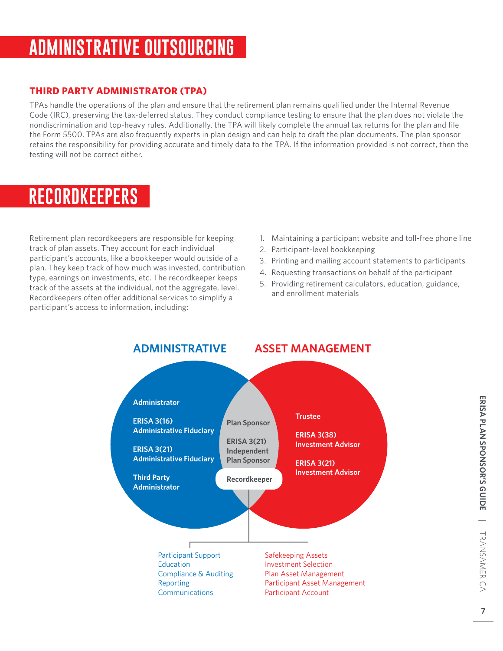# **ADMINISTRATIVE OUTSOURCING**

### **THIRD PARTY ADMINISTRATOR (TPA)**

**NOTE:** retains the responsibility for providing accurate and timely data to the TPA. If the information provided is not correct, then the TPAs handle the operations of the plan and ensure that the retirement plan remains qualified under the Internal Revenue Code (IRC), preserving the tax-deferred status. They conduct compliance testing to ensure that the plan does not violate the nondiscrimination and top-heavy rules. Additionally, the TPA will likely complete the annual tax returns for the plan and file the Form 5500. TPAs are also frequently experts in plan design and can help to draft the plan documents. The plan sponsor testing will not be correct either.

# **RECORDKEEPERS**

Retirement plan recordkeepers are responsible for keeping track of plan assets. They account for each individual participant's accounts, like a bookkeeper would outside of a plan. They keep track of how much was invested, contribution type, earnings on investments, etc. The recordkeeper keeps track of the assets at the individual, not the aggregate, level. Recordkeepers often offer additional services to simplify a participant's access to information, including:

- 1. Maintaining a participant website and toll-free phone line
- 2. Participant-level bookkeeping
- 3. Printing and mailing account statements to participants
- 4. Requesting transactions on behalf of the participant
- 5. Providing retirement calculators, education, guidance, and enrollment materials

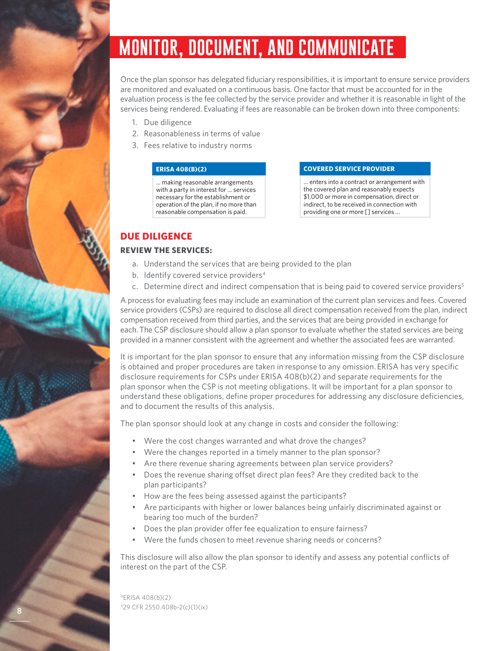# **MONITOR, DOCUMENT, AND COMMUNICATE**

Once the plan sponsor has delegated fiduciary responsibilities, it is important to ensure service providers are monitored and evaluated on a continuous basis. One factor that must be accounted for in the evaluation process is the fee collected by the service provider and whether it is reasonable in light of the services being rendered. Evaluating if fees are reasonable can be broken down into three components:

- 1. Due diligence
- 2. Reasonableness in terms of value
- 3. Fees relative to industry norms

#### **ERISA 408(B)(2)**

… making reasonable arrangements with a party in interest for … services necessary for the establishment or operation of the plan, if no more than reasonable compensation is paid.

#### **COVERED SERVICE PROVIDER**

… enters into a contract or arrangement with the covered plan and reasonably expects \$1,000 or more in compensation, direct or indirect, to be received in connection with providing one or more [] services ...

### **DUE DILIGENCE**

### **REVIEW THE SERVICES:**

- a. Understand the services that are being provided to the plan
- b. Identify covered service providers<sup>4</sup>
- c. Determine direct and indirect compensation that is being paid to covered service providers<sup>5</sup>

A process for evaluating fees may include an examination of the current plan services and fees. Covered service providers (CSPs) are required to disclose all direct compensation received from the plan, indirect compensation received from third parties, and the services that are being provided in exchange for each. The CSP disclosure should allow a plan sponsor to evaluate whether the stated services are being provided in a manner consistent with the agreement and whether the associated fees are warranted.

It is important for the plan sponsor to ensure that any information missing from the CSP disclosure is obtained and proper procedures are taken in response to any omission. ERISA has very specific disclosure requirements for CSPs under ERISA 408(b)(2) and separate requirements for the plan sponsor when the CSP is not meeting obligations. It will be important for a plan sponsor to understand these obligations, define proper procedures for addressing any disclosure deficiencies, and to document the results of this analysis.

The plan sponsor should look at any change in costs and consider the following:

- Were the cost changes warranted and what drove the changes?
- Were the changes reported in a timely manner to the plan sponsor?
- Are there revenue sharing agreements between plan service providers?
- Does the revenue sharing offset direct plan fees? Are they credited back to the plan participants?
- How are the fees being assessed against the participants?
- Are participants with higher or lower balances being unfairly discriminated against or bearing too much of the burden?
- Does the plan provider offer fee equalization to ensure fairness?
- Were the funds chosen to meet revenue sharing needs or concerns?

This disclosure will also allow the plan sponsor to identify and assess any potential conflicts of interest on the part of the CSP.

4ERISA 408(b)(2) 5 29 CFR 2550.408b-2(c)(1)(ix)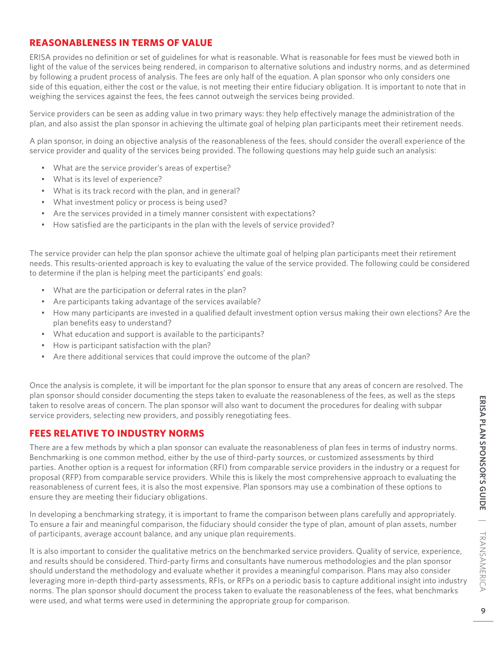### **REASONABLENESS IN TERMS OF VALUE**

ERISA provides no definition or set of guidelines for what is reasonable. What is reasonable for fees must be viewed both in light of the value of the services being rendered, in comparison to alternative solutions and industry norms, and as determined by following a prudent process of analysis. The fees are only half of the equation. A plan sponsor who only considers one side of this equation, either the cost or the value, is not meeting their entire fiduciary obligation. It is important to note that in weighing the services against the fees, the fees cannot outweigh the services being provided.

Service providers can be seen as adding value in two primary ways: they help effectively manage the administration of the plan, and also assist the plan sponsor in achieving the ultimate goal of helping plan participants meet their retirement needs.

A plan sponsor, in doing an objective analysis of the reasonableness of the fees, should consider the overall experience of the service provider and quality of the services being provided. The following questions may help guide such an analysis:

- What are the service provider's areas of expertise?
- What is its level of experience?
- What is its track record with the plan, and in general?
- What investment policy or process is being used?
- Are the services provided in a timely manner consistent with expectations?
- How satisfied are the participants in the plan with the levels of service provided?

The service provider can help the plan sponsor achieve the ultimate goal of helping plan participants meet their retirement needs. This results-oriented approach is key to evaluating the value of the service provided. The following could be considered to determine if the plan is helping meet the participants' end goals:

- What are the participation or deferral rates in the plan?
- Are participants taking advantage of the services available?
- How many participants are invested in a qualified default investment option versus making their own elections? Are the plan benefits easy to understand?
- What education and support is available to the participants?
- How is participant satisfaction with the plan?
- Are there additional services that could improve the outcome of the plan?

Once the analysis is complete, it will be important for the plan sponsor to ensure that any areas of concern are resolved. The plan sponsor should consider documenting the steps taken to evaluate the reasonableness of the fees, as well as the steps taken to resolve areas of concern. The plan sponsor will also want to document the procedures for dealing with subpar service providers, selecting new providers, and possibly renegotiating fees.

### **FEES RELATIVE TO INDUSTRY NORMS**

There are a few methods by which a plan sponsor can evaluate the reasonableness of plan fees in terms of industry norms. Benchmarking is one common method, either by the use of third-party sources, or customized assessments by third parties. Another option is a request for information (RFI) from comparable service providers in the industry or a request for proposal (RFP) from comparable service providers. While this is likely the most comprehensive approach to evaluating the reasonableness of current fees, it is also the most expensive. Plan sponsors may use a combination of these options to ensure they are meeting their fiduciary obligations.

In developing a benchmarking strategy, it is important to frame the comparison between plans carefully and appropriately. To ensure a fair and meaningful comparison, the fiduciary should consider the type of plan, amount of plan assets, number of participants, average account balance, and any unique plan requirements.

It is also important to consider the qualitative metrics on the benchmarked service providers. Quality of service, experience, and results should be considered. Third-party firms and consultants have numerous methodologies and the plan sponsor should understand the methodology and evaluate whether it provides a meaningful comparison. Plans may also consider leveraging more in-depth third-party assessments, RFIs, or RFPs on a periodic basis to capture additional insight into industry norms. The plan sponsor should document the process taken to evaluate the reasonableness of the fees, what benchmarks were used, and what terms were used in determining the appropriate group for comparison.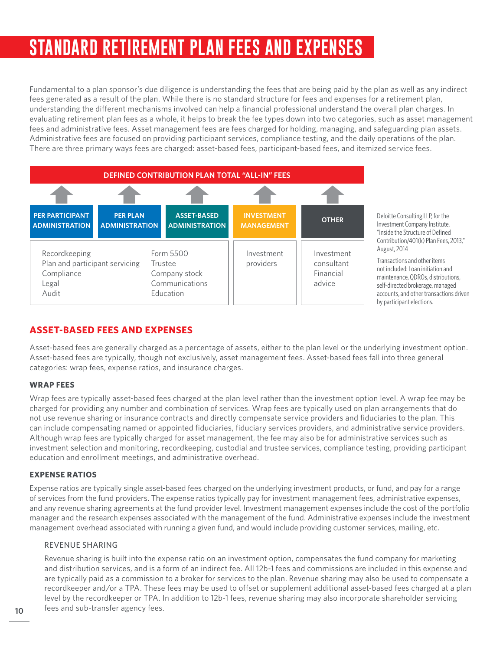# **STANDARD RETIREMENT PLAN FEES AND EXPENSES**

Fundamental to a plan sponsor's due diligence is understanding the fees that are being paid by the plan as well as any indirect fees generated as a result of the plan. While there is no standard structure for fees and expenses for a retirement plan, understanding the different mechanisms involved can help a financial professional understand the overall plan charges. In evaluating retirement plan fees as a whole, it helps to break the fee types down into two categories, such as asset management fees and administrative fees. Asset management fees are fees charged for holding, managing, and safeguarding plan assets. Administrative fees are focused on providing participant services, compliance testing, and the daily operations of the plan. There are three primary ways fees are charged: asset-based fees, participant-based fees, and itemized service fees.



Deloitte Consulting LLP, for the Investment Company Institute, "Inside the Structure of Defined Contribution/401(k) Plan Fees, 2013," August, 2014

Transactions and other items not included: Loan initiation and maintenance, QDROs, distributions, self-directed brokerage, managed accounts, and other transactions driven by participant elections.

## **ASSET-BASED FEES AND EXPENSES**

Asset-based fees are generally charged as a percentage of assets, either to the plan level or the underlying investment option. Asset-based fees are typically, though not exclusively, asset management fees. Asset-based fees fall into three general categories: wrap fees, expense ratios, and insurance charges.

### **WRAP FEES**

Wrap fees are typically asset-based fees charged at the plan level rather than the investment option level. A wrap fee may be charged for providing any number and combination of services. Wrap fees are typically used on plan arrangements that do not use revenue sharing or insurance contracts and directly compensate service providers and fiduciaries to the plan. This can include compensating named or appointed fiduciaries, fiduciary services providers, and administrative service providers. Although wrap fees are typically charged for asset management, the fee may also be for administrative services such as investment selection and monitoring, recordkeeping, custodial and trustee services, compliance testing, providing participant education and enrollment meetings, and administrative overhead.

### **EXPENSE RATIOS**

Expense ratios are typically single asset-based fees charged on the underlying investment products, or fund, and pay for a range of services from the fund providers. The expense ratios typically pay for investment management fees, administrative expenses, and any revenue sharing agreements at the fund provider level. Investment management expenses include the cost of the portfolio manager and the research expenses associated with the management of the fund. Administrative expenses include the investment management overhead associated with running a given fund, and would include providing customer services, mailing, etc.

### REVENUE SHARING

Revenue sharing is built into the expense ratio on an investment option, compensates the fund company for marketing and distribution services, and is a form of an indirect fee. All 12b-1 fees and commissions are included in this expense and are typically paid as a commission to a broker for services to the plan. Revenue sharing may also be used to compensate a recordkeeper and/or a TPA. These fees may be used to offset or supplement additional asset-based fees charged at a plan level by the recordkeeper or TPA. In addition to 12b-1 fees, revenue sharing may also incorporate shareholder servicing fees and sub-transfer agency fees.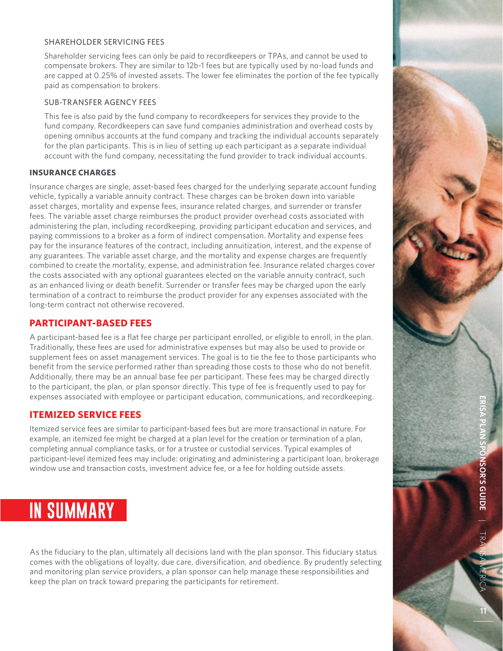### SHAREHOLDER SERVICING FEES

Shareholder servicing fees can only be paid to recordkeepers or TPAs, and cannot be used to compensate brokers. They are similar to 12b-1 fees but are typically used by no-load funds and are capped at 0.25% of invested assets. The lower fee eliminates the portion of the fee typically paid as compensation to brokers.

#### SUB-TRANSFER AGENCY FEES

This fee is also paid by the fund company to recordkeepers for services they provide to the fund company. Recordkeepers can save fund companies administration and overhead costs by opening omnibus accounts at the fund company and tracking the individual accounts separately for the plan participants. This is in lieu of setting up each participant as a separate individual account with the fund company, necessitating the fund provider to track individual accounts.

#### **INSURANCE CHARGES**

Insurance charges are single, asset-based fees charged for the underlying separate account funding vehicle, typically a variable annuity contract. These charges can be broken down into variable asset charges, mortality and expense fees, insurance related charges, and surrender or transfer fees. The variable asset charge reimburses the product provider overhead costs associated with administering the plan, including recordkeeping, providing participant education and services, and paying commissions to a broker as a form of indirect compensation. Mortality and expense fees pay for the insurance features of the contract, including annuitization, interest, and the expense of any guarantees. The variable asset charge, and the mortality and expense charges are frequently combined to create the mortality, expense, and administration fee. Insurance related charges cover the costs associated with any optional guarantees elected on the variable annuity contract, such as an enhanced living or death benefit. Surrender or transfer fees may be charged upon the early termination of a contract to reimburse the product provider for any expenses associated with the long-term contract not otherwise recovered.

### **PARTICIPANT-BASED FEES**

A participant-based fee is a flat fee charge per participant enrolled, or eligible to enroll, in the plan. Traditionally, these fees are used for administrative expenses but may also be used to provide or supplement fees on asset management services. The goal is to tie the fee to those participants who benefit from the service performed rather than spreading those costs to those who do not benefit. Additionally, there may be an annual base fee per participant. These fees may be charged directly to the participant, the plan, or plan sponsor directly. This type of fee is frequently used to pay for expenses associated with employee or participant education, communications, and recordkeeping.

#### **ITEMIZED SERVICE FEES**

Itemized service fees are similar to participant-based fees but are more transactional in nature. For example, an itemized fee might be charged at a plan level for the creation or termination of a plan, completing annual compliance tasks, or for a trustee or custodial services. Typical examples of participant-level itemized fees may include: originating and administering a participant loan, brokerage window use and transaction costs, investment advice fee, or a fee for holding outside assets.



As the fiduciary to the plan, ultimately all decisions land with the plan sponsor. This fiduciary status comes with the obligations of loyalty, due care, diversification, and obedience. By prudently selecting and monitoring plan service providers, a plan sponsor can help manage these responsibilities and keep the plan on track toward preparing the participants for retirement.